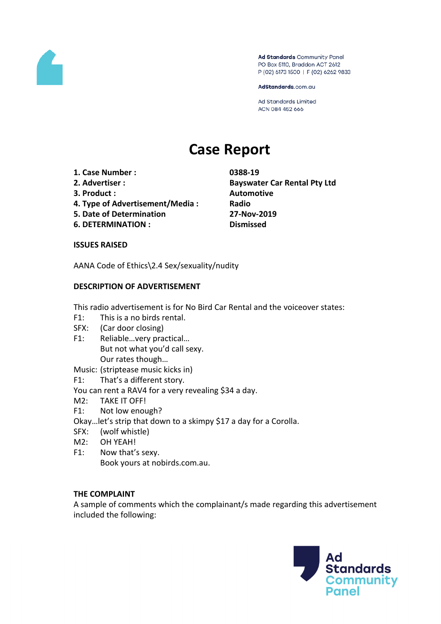

Ad Standards Community Panel PO Box 5110, Braddon ACT 2612 P (02) 6173 1500 | F (02) 6262 9833

AdStandards.com.au

Ad Standards Limited ACN 084 452 666

# **Case Report**

- **1. Case Number : 0388-19**
- 
- **3. Product : Automotive**
- **4. Type of Advertisement/Media : Radio**
- **5. Date of Determination 27-Nov-2019**
- **6. DETERMINATION : Dismissed**

**2. Advertiser : Bayswater Car Rental Pty Ltd**

#### **ISSUES RAISED**

AANA Code of Ethics\2.4 Sex/sexuality/nudity

## **DESCRIPTION OF ADVERTISEMENT**

This radio advertisement is for No Bird Car Rental and the voiceover states:

- F1: This is a no birds rental.
- SFX: (Car door closing)
- F1: Reliable…very practical… But not what you'd call sexy. Our rates though…

Music: (striptease music kicks in)

- F1: That's a different story.
- You can rent a RAV4 for a very revealing \$34 a day.
- M2: TAKE IT OFF!
- F1: Not low enough?
- Okay…let's strip that down to a skimpy \$17 a day for a Corolla.
- SFX: (wolf whistle)
- M2: OH YEAH!
- F1: Now that's sexy. Book yours at nobirds.com.au.

## **THE COMPLAINT**

A sample of comments which the complainant/s made regarding this advertisement included the following:

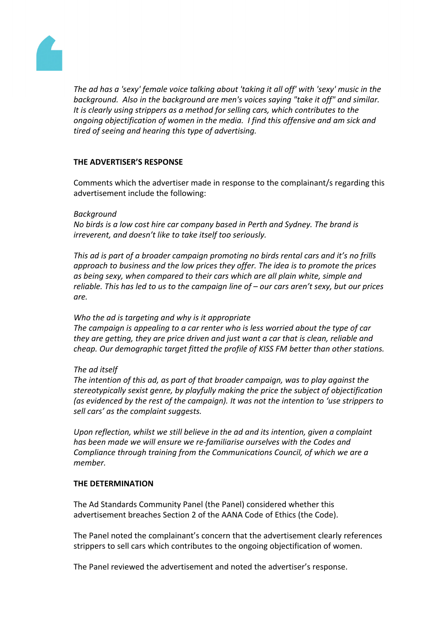

*The ad has a 'sexy' female voice talking about 'taking it all off' with 'sexy' music in the background. Also in the background are men's voices saying "take it off" and similar. It is clearly using strippers as a method for selling cars, which contributes to the ongoing objectification of women in the media. I find this offensive and am sick and tired of seeing and hearing this type of advertising.*

## **THE ADVERTISER'S RESPONSE**

Comments which the advertiser made in response to the complainant/s regarding this advertisement include the following:

## *Background*

*No birds is a low cost hire car company based in Perth and Sydney. The brand is irreverent, and doesn't like to take itself too seriously.*

*This ad is part of a broader campaign promoting no birds rental cars and it's no frills approach to business and the low prices they offer. The idea is to promote the prices as being sexy, when compared to their cars which are all plain white, simple and reliable. This has led to us to the campaign line of – our cars aren't sexy, but our prices are.*

## *Who the ad is targeting and why is it appropriate*

*The campaign is appealing to a car renter who is less worried about the type of car they are getting, they are price driven and just want a car that is clean, reliable and cheap. Our demographic target fitted the profile of KISS FM better than other stations.*

## *The ad itself*

*The intention of this ad, as part of that broader campaign, was to play against the stereotypically sexist genre, by playfully making the price the subject of objectification (as evidenced by the rest of the campaign). It was not the intention to 'use strippers to sell cars' as the complaint suggests.*

*Upon reflection, whilst we still believe in the ad and its intention, given a complaint has been made we will ensure we re-familiarise ourselves with the Codes and Compliance through training from the Communications Council, of which we are a member.*

## **THE DETERMINATION**

The Ad Standards Community Panel (the Panel) considered whether this advertisement breaches Section 2 of the AANA Code of Ethics (the Code).

The Panel noted the complainant's concern that the advertisement clearly references strippers to sell cars which contributes to the ongoing objectification of women.

The Panel reviewed the advertisement and noted the advertiser's response.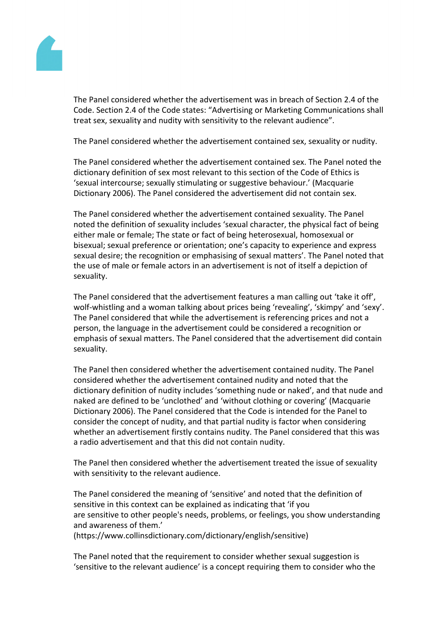

The Panel considered whether the advertisement was in breach of Section 2.4 of the Code. Section 2.4 of the Code states: "Advertising or Marketing Communications shall treat sex, sexuality and nudity with sensitivity to the relevant audience".

The Panel considered whether the advertisement contained sex, sexuality or nudity.

The Panel considered whether the advertisement contained sex. The Panel noted the dictionary definition of sex most relevant to this section of the Code of Ethics is 'sexual intercourse; sexually stimulating or suggestive behaviour.' (Macquarie Dictionary 2006). The Panel considered the advertisement did not contain sex.

The Panel considered whether the advertisement contained sexuality. The Panel noted the definition of sexuality includes 'sexual character, the physical fact of being either male or female; The state or fact of being heterosexual, homosexual or bisexual; sexual preference or orientation; one's capacity to experience and express sexual desire; the recognition or emphasising of sexual matters'. The Panel noted that the use of male or female actors in an advertisement is not of itself a depiction of sexuality.

The Panel considered that the advertisement features a man calling out 'take it off', wolf-whistling and a woman talking about prices being 'revealing', 'skimpy' and 'sexy'. The Panel considered that while the advertisement is referencing prices and not a person, the language in the advertisement could be considered a recognition or emphasis of sexual matters. The Panel considered that the advertisement did contain sexuality.

The Panel then considered whether the advertisement contained nudity. The Panel considered whether the advertisement contained nudity and noted that the dictionary definition of nudity includes 'something nude or naked', and that nude and naked are defined to be 'unclothed' and 'without clothing or covering' (Macquarie Dictionary 2006). The Panel considered that the Code is intended for the Panel to consider the concept of nudity, and that partial nudity is factor when considering whether an advertisement firstly contains nudity. The Panel considered that this was a radio advertisement and that this did not contain nudity.

The Panel then considered whether the advertisement treated the issue of sexuality with sensitivity to the relevant audience.

The Panel considered the meaning of 'sensitive' and noted that the definition of sensitive in this context can be explained as indicating that 'if you are sensitive to other people's needs, problems, or feelings, you show understanding and awareness of them.'

(https://www.collinsdictionary.com/dictionary/english/sensitive)

The Panel noted that the requirement to consider whether sexual suggestion is 'sensitive to the relevant audience' is a concept requiring them to consider who the